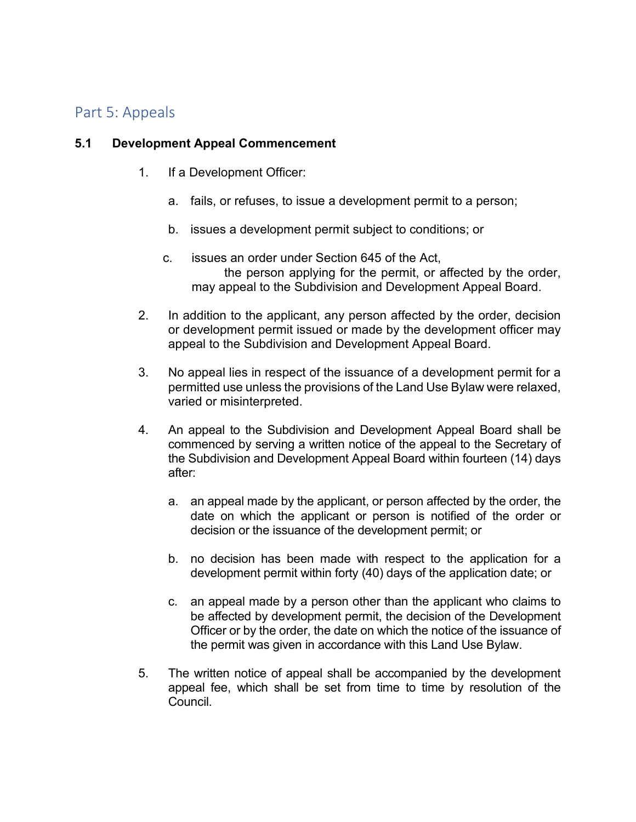# Part 5: Appeals

## **5.1 Development Appeal Commencement**

- 1. If a Development Officer:
	- a. fails, or refuses, to issue a development permit to a person;
	- b. issues a development permit subject to conditions; or
	- c. issues an order under Section 645 of the Act, the person applying for the permit, or affected by the order, may appeal to the Subdivision and Development Appeal Board.
- 2. In addition to the applicant, any person affected by the order, decision or development permit issued or made by the development officer may appeal to the Subdivision and Development Appeal Board.
- 3. No appeal lies in respect of the issuance of a development permit for a permitted use unless the provisions of the Land Use Bylaw were relaxed, varied or misinterpreted.
- 4. An appeal to the Subdivision and Development Appeal Board shall be commenced by serving a written notice of the appeal to the Secretary of the Subdivision and Development Appeal Board within fourteen (14) days after:
	- a. an appeal made by the applicant, or person affected by the order, the date on which the applicant or person is notified of the order or decision or the issuance of the development permit; or
	- b. no decision has been made with respect to the application for a development permit within forty (40) days of the application date; or
	- c. an appeal made by a person other than the applicant who claims to be affected by development permit, the decision of the Development Officer or by the order, the date on which the notice of the issuance of the permit was given in accordance with this Land Use Bylaw.
- 5. The written notice of appeal shall be accompanied by the development appeal fee, which shall be set from time to time by resolution of the Council.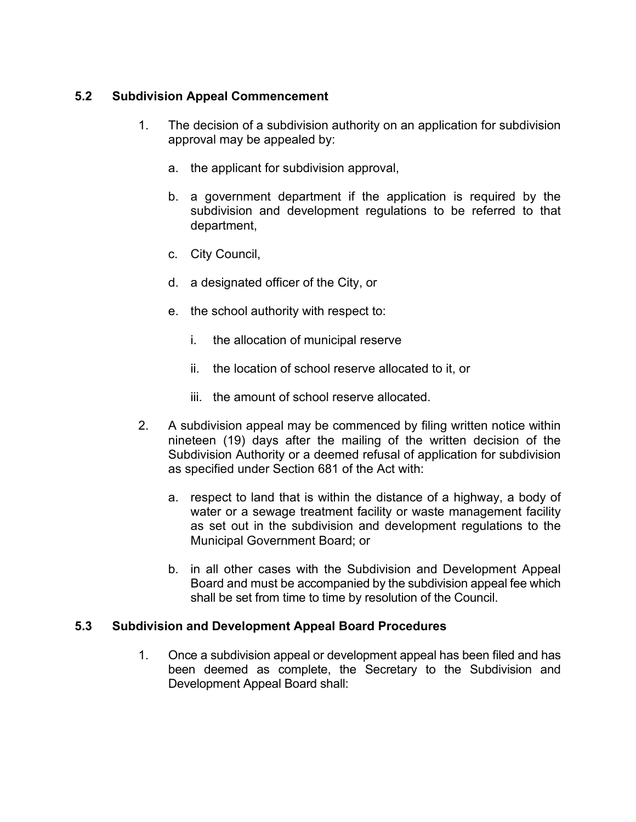## **5.2 Subdivision Appeal Commencement**

- 1. The decision of a subdivision authority on an application for subdivision approval may be appealed by:
	- a. the applicant for subdivision approval,
	- b. a government department if the application is required by the subdivision and development regulations to be referred to that department,
	- c. City Council,
	- d. a designated officer of the City, or
	- e. the school authority with respect to:
		- i. the allocation of municipal reserve
		- ii. the location of school reserve allocated to it, or
		- iii. the amount of school reserve allocated.
- 2. A subdivision appeal may be commenced by filing written notice within nineteen (19) days after the mailing of the written decision of the Subdivision Authority or a deemed refusal of application for subdivision as specified under Section 681 of the Act with:
	- a. respect to land that is within the distance of a highway, a body of water or a sewage treatment facility or waste management facility as set out in the subdivision and development regulations to the Municipal Government Board; or
	- b. in all other cases with the Subdivision and Development Appeal Board and must be accompanied by the subdivision appeal fee which shall be set from time to time by resolution of the Council.

### **5.3 Subdivision and Development Appeal Board Procedures**

1. Once a subdivision appeal or development appeal has been filed and has been deemed as complete, the Secretary to the Subdivision and Development Appeal Board shall: